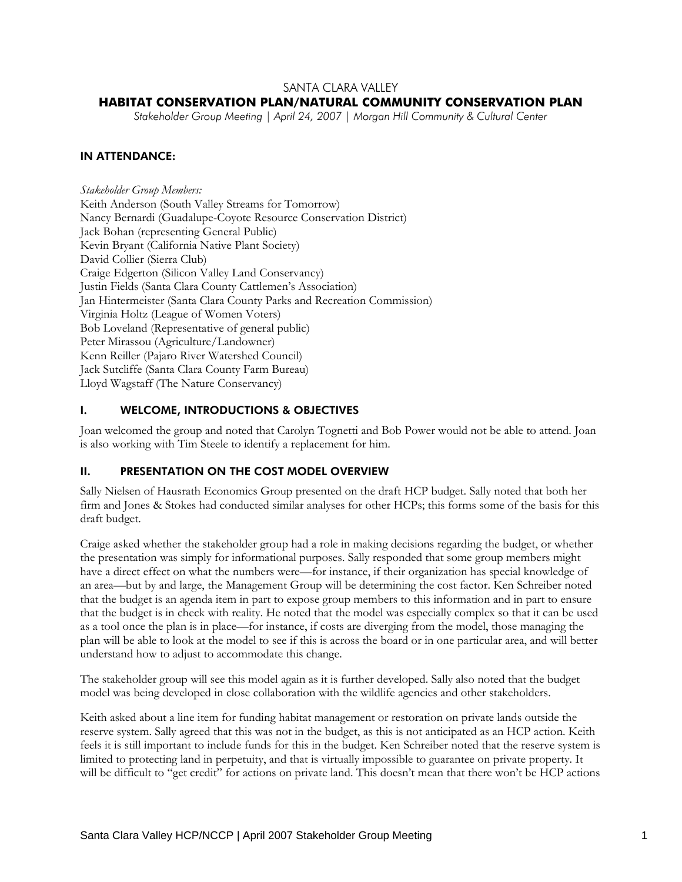## SANTA CLARA VALLEY

# **HABITAT CONSERVATION PLAN/NATURAL COMMUNITY CONSERVATION PLAN**

*Stakeholder Group Meeting | April 24, 2007 | Morgan Hill Community & Cultural Center* 

## IN ATTENDANCE:

*Stakeholder Group Members:*  Keith Anderson (South Valley Streams for Tomorrow) Nancy Bernardi (Guadalupe-Coyote Resource Conservation District) Jack Bohan (representing General Public) Kevin Bryant (California Native Plant Society) David Collier (Sierra Club) Craige Edgerton (Silicon Valley Land Conservancy) Justin Fields (Santa Clara County Cattlemen's Association) Jan Hintermeister (Santa Clara County Parks and Recreation Commission) Virginia Holtz (League of Women Voters) Bob Loveland (Representative of general public) Peter Mirassou (Agriculture/Landowner) Kenn Reiller (Pajaro River Watershed Council) Jack Sutcliffe (Santa Clara County Farm Bureau) Lloyd Wagstaff (The Nature Conservancy)

# I. WELCOME, INTRODUCTIONS & OBJECTIVES

Joan welcomed the group and noted that Carolyn Tognetti and Bob Power would not be able to attend. Joan is also working with Tim Steele to identify a replacement for him.

#### II. PRESENTATION ON THE COST MODEL OVERVIEW

Sally Nielsen of Hausrath Economics Group presented on the draft HCP budget. Sally noted that both her firm and Jones & Stokes had conducted similar analyses for other HCPs; this forms some of the basis for this draft budget.

Craige asked whether the stakeholder group had a role in making decisions regarding the budget, or whether the presentation was simply for informational purposes. Sally responded that some group members might have a direct effect on what the numbers were—for instance, if their organization has special knowledge of an area—but by and large, the Management Group will be determining the cost factor. Ken Schreiber noted that the budget is an agenda item in part to expose group members to this information and in part to ensure that the budget is in check with reality. He noted that the model was especially complex so that it can be used as a tool once the plan is in place—for instance, if costs are diverging from the model, those managing the plan will be able to look at the model to see if this is across the board or in one particular area, and will better understand how to adjust to accommodate this change.

The stakeholder group will see this model again as it is further developed. Sally also noted that the budget model was being developed in close collaboration with the wildlife agencies and other stakeholders.

Keith asked about a line item for funding habitat management or restoration on private lands outside the reserve system. Sally agreed that this was not in the budget, as this is not anticipated as an HCP action. Keith feels it is still important to include funds for this in the budget. Ken Schreiber noted that the reserve system is limited to protecting land in perpetuity, and that is virtually impossible to guarantee on private property. It will be difficult to "get credit" for actions on private land. This doesn't mean that there won't be HCP actions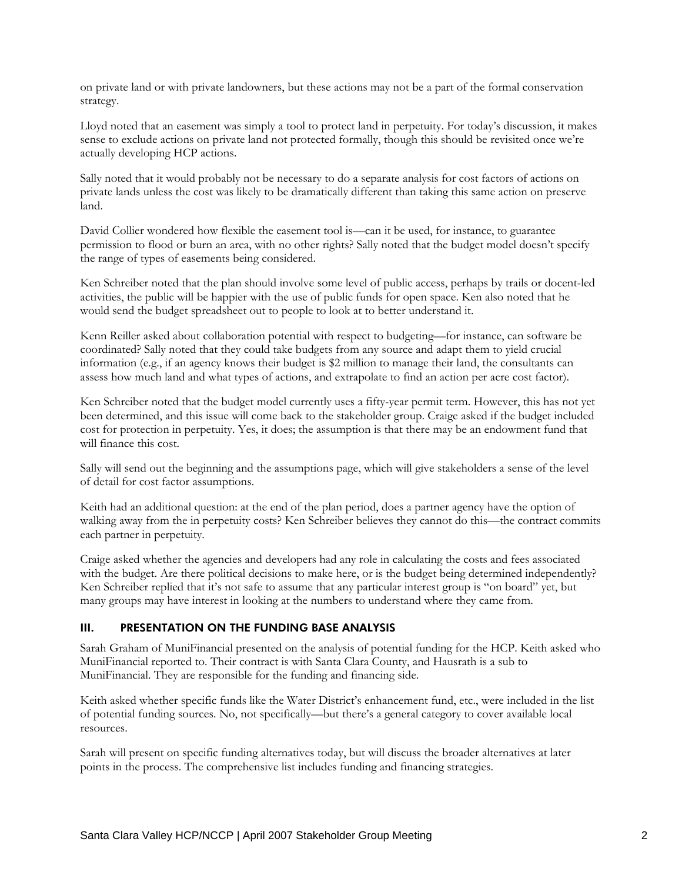on private land or with private landowners, but these actions may not be a part of the formal conservation strategy.

Lloyd noted that an easement was simply a tool to protect land in perpetuity. For today's discussion, it makes sense to exclude actions on private land not protected formally, though this should be revisited once we're actually developing HCP actions.

Sally noted that it would probably not be necessary to do a separate analysis for cost factors of actions on private lands unless the cost was likely to be dramatically different than taking this same action on preserve land.

David Collier wondered how flexible the easement tool is—can it be used, for instance, to guarantee permission to flood or burn an area, with no other rights? Sally noted that the budget model doesn't specify the range of types of easements being considered.

Ken Schreiber noted that the plan should involve some level of public access, perhaps by trails or docent-led activities, the public will be happier with the use of public funds for open space. Ken also noted that he would send the budget spreadsheet out to people to look at to better understand it.

Kenn Reiller asked about collaboration potential with respect to budgeting—for instance, can software be coordinated? Sally noted that they could take budgets from any source and adapt them to yield crucial information (e.g., if an agency knows their budget is \$2 million to manage their land, the consultants can assess how much land and what types of actions, and extrapolate to find an action per acre cost factor).

Ken Schreiber noted that the budget model currently uses a fifty-year permit term. However, this has not yet been determined, and this issue will come back to the stakeholder group. Craige asked if the budget included cost for protection in perpetuity. Yes, it does; the assumption is that there may be an endowment fund that will finance this cost.

Sally will send out the beginning and the assumptions page, which will give stakeholders a sense of the level of detail for cost factor assumptions.

Keith had an additional question: at the end of the plan period, does a partner agency have the option of walking away from the in perpetuity costs? Ken Schreiber believes they cannot do this—the contract commits each partner in perpetuity.

Craige asked whether the agencies and developers had any role in calculating the costs and fees associated with the budget. Are there political decisions to make here, or is the budget being determined independently? Ken Schreiber replied that it's not safe to assume that any particular interest group is "on board" yet, but many groups may have interest in looking at the numbers to understand where they came from.

#### III. PRESENTATION ON THE FUNDING BASE ANALYSIS

Sarah Graham of MuniFinancial presented on the analysis of potential funding for the HCP. Keith asked who MuniFinancial reported to. Their contract is with Santa Clara County, and Hausrath is a sub to MuniFinancial. They are responsible for the funding and financing side.

Keith asked whether specific funds like the Water District's enhancement fund, etc., were included in the list of potential funding sources. No, not specifically—but there's a general category to cover available local resources.

Sarah will present on specific funding alternatives today, but will discuss the broader alternatives at later points in the process. The comprehensive list includes funding and financing strategies.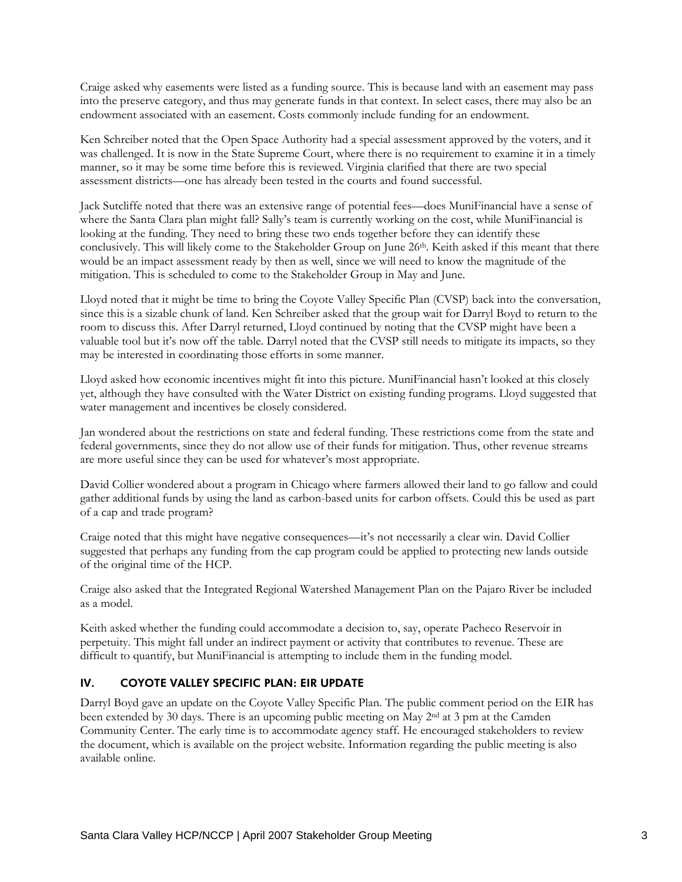Craige asked why easements were listed as a funding source. This is because land with an easement may pass into the preserve category, and thus may generate funds in that context. In select cases, there may also be an endowment associated with an easement. Costs commonly include funding for an endowment.

Ken Schreiber noted that the Open Space Authority had a special assessment approved by the voters, and it was challenged. It is now in the State Supreme Court, where there is no requirement to examine it in a timely manner, so it may be some time before this is reviewed. Virginia clarified that there are two special assessment districts—one has already been tested in the courts and found successful.

Jack Sutcliffe noted that there was an extensive range of potential fees—does MuniFinancial have a sense of where the Santa Clara plan might fall? Sally's team is currently working on the cost, while MuniFinancial is looking at the funding. They need to bring these two ends together before they can identify these conclusively. This will likely come to the Stakeholder Group on June 26<sup>th</sup>. Keith asked if this meant that there would be an impact assessment ready by then as well, since we will need to know the magnitude of the mitigation. This is scheduled to come to the Stakeholder Group in May and June.

Lloyd noted that it might be time to bring the Coyote Valley Specific Plan (CVSP) back into the conversation, since this is a sizable chunk of land. Ken Schreiber asked that the group wait for Darryl Boyd to return to the room to discuss this. After Darryl returned, Lloyd continued by noting that the CVSP might have been a valuable tool but it's now off the table. Darryl noted that the CVSP still needs to mitigate its impacts, so they may be interested in coordinating those efforts in some manner.

Lloyd asked how economic incentives might fit into this picture. MuniFinancial hasn't looked at this closely yet, although they have consulted with the Water District on existing funding programs. Lloyd suggested that water management and incentives be closely considered.

Jan wondered about the restrictions on state and federal funding. These restrictions come from the state and federal governments, since they do not allow use of their funds for mitigation. Thus, other revenue streams are more useful since they can be used for whatever's most appropriate.

David Collier wondered about a program in Chicago where farmers allowed their land to go fallow and could gather additional funds by using the land as carbon-based units for carbon offsets. Could this be used as part of a cap and trade program?

Craige noted that this might have negative consequences—it's not necessarily a clear win. David Collier suggested that perhaps any funding from the cap program could be applied to protecting new lands outside of the original time of the HCP.

Craige also asked that the Integrated Regional Watershed Management Plan on the Pajaro River be included as a model.

Keith asked whether the funding could accommodate a decision to, say, operate Pacheco Reservoir in perpetuity. This might fall under an indirect payment or activity that contributes to revenue. These are difficult to quantify, but MuniFinancial is attempting to include them in the funding model.

# IV. COYOTE VALLEY SPECIFIC PLAN: EIR UPDATE

Darryl Boyd gave an update on the Coyote Valley Specific Plan. The public comment period on the EIR has been extended by 30 days. There is an upcoming public meeting on May 2nd at 3 pm at the Camden Community Center. The early time is to accommodate agency staff. He encouraged stakeholders to review the document, which is available on the project website. Information regarding the public meeting is also available online.